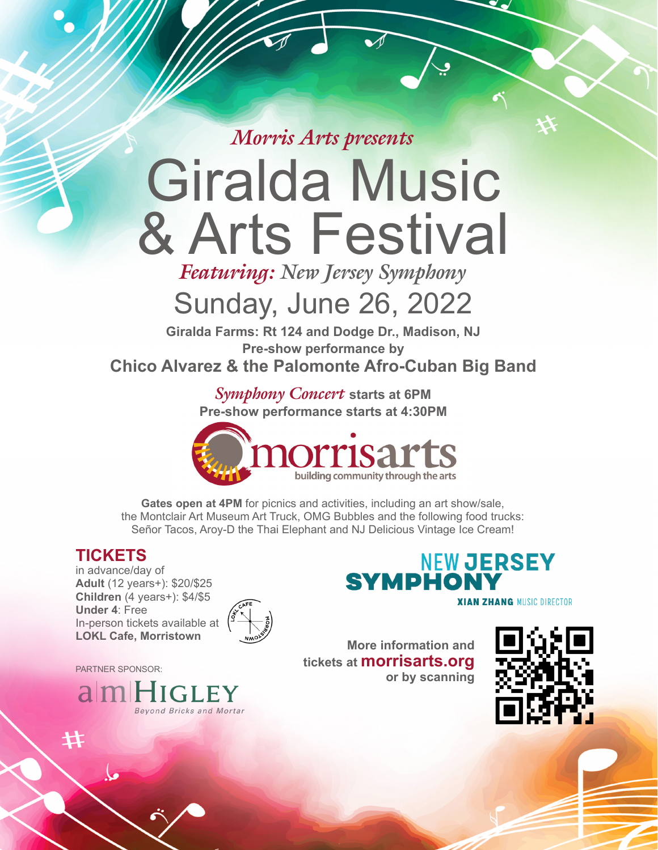*Morris Arts presents*

# Giralda Music & Arts Festival

*Featuring: New Jersey Symphony*

## Sunday, June 26, 2022

**Giralda Farms: Rt 124 and Dodge Dr., Madison, NJ Pre-show performance by Chico Alvarez & the Palomonte Afro-Cuban Big Band**

> *Symphony Concert* **starts at 6PM Pre-show performance starts at 4:30PM**



**Gates open at 4PM** for picnics and activities, including an art show/sale, the Montclair Art Museum Art Truck, OMG Bubbles and the following food trucks: Señor Tacos, Aroy-D the Thai Elephant and NJ Delicious Vintage Ice Cream!

### **TICKETS**

in advance/day of **Adult** (12 years+): \$20/\$25 **Children** (4 years+): \$4/\$5 **Under 4**: Free In-person tickets available at **LOKL Cafe, Morristown**



PARTNER SPONSOR:



**NEW JERSEY SYMPHON XIAN ZHANG MUSIC DIRECTOR** 

**More information and tickets at morrisarts.org or by scanning**